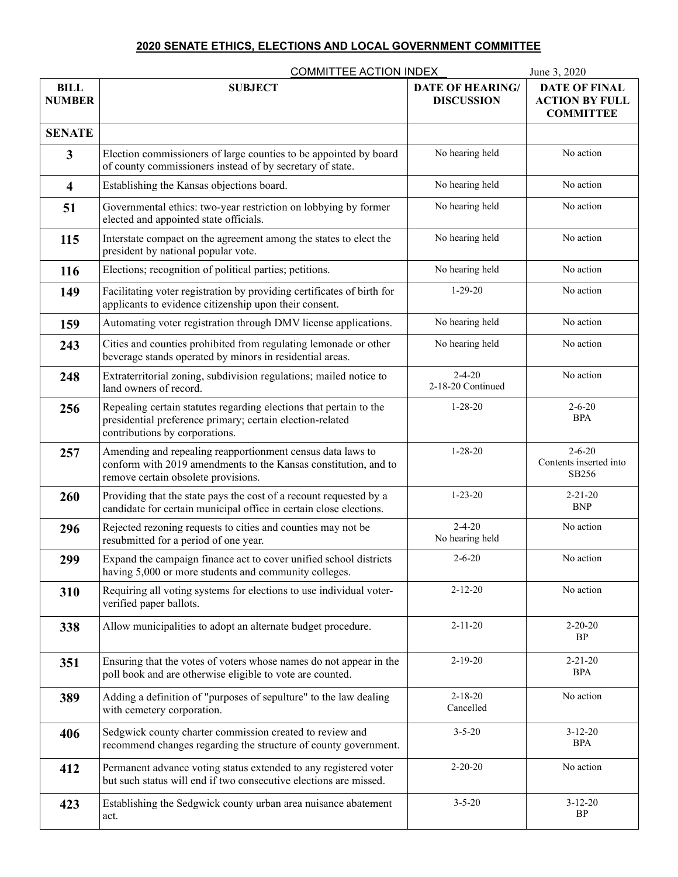## **2020 SENATE ETHICS, ELECTIONS AND LOCAL GOVERNMENT COMMITTEE**

|                              | <b>COMMITTEE ACTION INDEX</b>                                                                                                                                        |                                              | June 3, 2020                                                      |
|------------------------------|----------------------------------------------------------------------------------------------------------------------------------------------------------------------|----------------------------------------------|-------------------------------------------------------------------|
| <b>BILL</b><br><b>NUMBER</b> | <b>SUBJECT</b>                                                                                                                                                       | <b>DATE OF HEARING/</b><br><b>DISCUSSION</b> | <b>DATE OF FINAL</b><br><b>ACTION BY FULL</b><br><b>COMMITTEE</b> |
| <b>SENATE</b>                |                                                                                                                                                                      |                                              |                                                                   |
| 3                            | Election commissioners of large counties to be appointed by board<br>of county commissioners instead of by secretary of state.                                       | No hearing held                              | No action                                                         |
| $\overline{\mathbf{4}}$      | Establishing the Kansas objections board.                                                                                                                            | No hearing held                              | No action                                                         |
| 51                           | Governmental ethics: two-year restriction on lobbying by former<br>elected and appointed state officials.                                                            | No hearing held                              | No action                                                         |
| 115                          | Interstate compact on the agreement among the states to elect the<br>president by national popular vote.                                                             | No hearing held                              | No action                                                         |
| 116                          | Elections; recognition of political parties; petitions.                                                                                                              | No hearing held                              | No action                                                         |
| 149                          | Facilitating voter registration by providing certificates of birth for<br>applicants to evidence citizenship upon their consent.                                     | $1 - 29 - 20$                                | No action                                                         |
| 159                          | Automating voter registration through DMV license applications.                                                                                                      | No hearing held                              | No action                                                         |
| 243                          | Cities and counties prohibited from regulating lemonade or other<br>beverage stands operated by minors in residential areas.                                         | No hearing held                              | No action                                                         |
| 248                          | Extraterritorial zoning, subdivision regulations; mailed notice to<br>land owners of record.                                                                         | $2 - 4 - 20$<br>2-18-20 Continued            | No action                                                         |
| 256                          | Repealing certain statutes regarding elections that pertain to the<br>presidential preference primary; certain election-related<br>contributions by corporations.    | $1 - 28 - 20$                                | $2 - 6 - 20$<br><b>BPA</b>                                        |
| 257                          | Amending and repealing reapportionment census data laws to<br>conform with 2019 amendments to the Kansas constitution, and to<br>remove certain obsolete provisions. | $1 - 28 - 20$                                | $2 - 6 - 20$<br>Contents inserted into<br>SB256                   |
| 260                          | Providing that the state pays the cost of a recount requested by a<br>candidate for certain municipal office in certain close elections.                             | $1 - 23 - 20$                                | $2 - 21 - 20$<br><b>BNP</b>                                       |
| 296                          | Rejected rezoning requests to cities and counties may not be<br>resubmitted for a period of one year.                                                                | $2 - 4 - 20$<br>No hearing held              | No action                                                         |
| 299                          | Expand the campaign finance act to cover unified school districts<br>having 5,000 or more students and community colleges.                                           | $2 - 6 - 20$                                 | No action                                                         |
| 310                          | Requiring all voting systems for elections to use individual voter-<br>verified paper ballots.                                                                       | $2 - 12 - 20$                                | No action                                                         |
| 338                          | Allow municipalities to adopt an alternate budget procedure.                                                                                                         | $2 - 11 - 20$                                | $2 - 20 - 20$<br><b>BP</b>                                        |
| 351                          | Ensuring that the votes of voters whose names do not appear in the<br>poll book and are otherwise eligible to vote are counted.                                      | $2 - 19 - 20$                                | $2 - 21 - 20$<br><b>BPA</b>                                       |
| 389                          | Adding a definition of "purposes of sepulture" to the law dealing<br>with cemetery corporation.                                                                      | $2 - 18 - 20$<br>Cancelled                   | No action                                                         |
| 406                          | Sedgwick county charter commission created to review and<br>recommend changes regarding the structure of county government.                                          | $3 - 5 - 20$                                 | $3-12-20$<br><b>BPA</b>                                           |
| 412                          | Permanent advance voting status extended to any registered voter<br>but such status will end if two consecutive elections are missed.                                | $2 - 20 - 20$                                | No action                                                         |
| 423                          | Establishing the Sedgwick county urban area nuisance abatement<br>act.                                                                                               | $3 - 5 - 20$                                 | $3 - 12 - 20$<br>BP                                               |